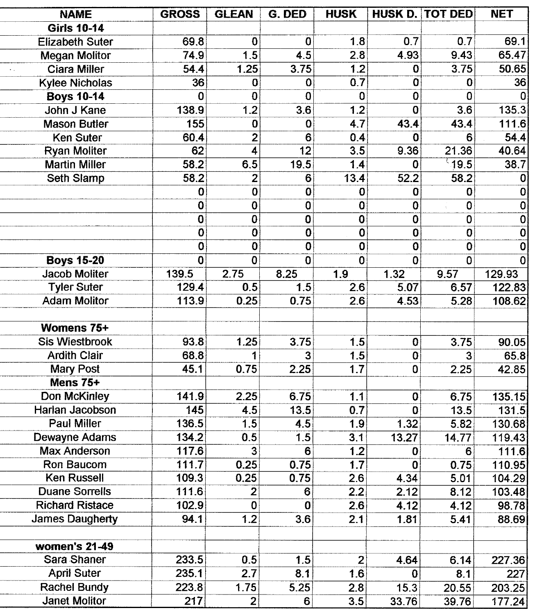| <b>NAME</b>            | <b>GROSS</b>            | <b>GLEAN</b>            | G. DED          | <b>HUSK</b>             |                | <b>HUSK D. TOT DED</b> | <b>NET</b>              |
|------------------------|-------------------------|-------------------------|-----------------|-------------------------|----------------|------------------------|-------------------------|
| <b>Girls 10-14</b>     |                         |                         |                 |                         |                |                        |                         |
| <b>Elizabeth Suter</b> | 69.8                    | 0                       | 0               | 1.8                     | 0.7            | 0.7                    | 69.1                    |
| <b>Megan Molitor</b>   | 74.9                    | 1.5                     | 4.5             | 2.8                     | 4.93           | 9.43                   | 65.47                   |
| <b>Ciara Miller</b>    | 54.4                    | 1.25                    | 3.75            | 1.2                     | $\bf{0}$       | 3.75                   | 50.65                   |
| <b>Kylee Nicholas</b>  | 36                      | 0                       | 0               | 0.7                     | $\bf{0}$       | $\bf{0}$               | 36                      |
| <b>Boys 10-14</b>      | 0                       | $\overline{0}$          | $\overline{0}$  | $\overline{\mathbf{0}}$ | $\overline{0}$ | 0                      | $\Omega$                |
| John J Kane            | 138.9                   | 1.2                     | 3.6             | 1.2                     | $\mathbf 0$    | 3.6                    | 135.3                   |
| <b>Mason Butler</b>    | 155                     | $\bf{0}$                | 0               | 4.7                     | 43.4           | 43.4                   | 111.6                   |
| <b>Ken Suter</b>       | 60.4                    | $\overline{2}$          | 6               | 0.4                     | $\bf{0}$       | 6                      | 54.4                    |
| <b>Ryan Moliter</b>    | 62                      | 4                       | $\overline{12}$ | 3.5                     | 9.36           | 21.36                  | 40.64                   |
| <b>Martin Miller</b>   | 58.2                    | 6.5                     | 19.5            | 1.4                     | $\mathbf 0$    | 19.5                   | 38.7                    |
| Seth Slamp             | 58.2                    | 2                       | 6               | 13.4                    | 52.2           | 58.2                   | 0                       |
|                        | $\bf{0}$                | $\bf{0}$                | $\bf{0}$        | 0                       | $\bf{0}$       | 0                      | $\bf{0}$                |
|                        | 0                       | $\bf{0}$                | $\bf{0}$        | $\bf{0}$                | $\bf{0}$       | 0                      | $\bf{0}$                |
|                        | 0                       | $\overline{\mathbf{0}}$ | 0               | $\bf{0}$                | $\pmb{0}$      | 0                      | $\bf{0}$                |
|                        | $\overline{0}$          | $\bf{0}$                | $\overline{0}$  | $\overline{\mathbf{0}}$ | $\bf{0}$       | $\overline{0}$         | $\overline{\mathbf{0}}$ |
|                        | $\overline{\mathbf{0}}$ | $\bf{0}$                | $\mathbf 0$     | 0                       | $\mathbf 0$    | 0                      | $\overline{\mathbf{0}}$ |
| <b>Boys 15-20</b>      | $\mathbf 0$             | $\bf{0}$                | $\overline{0}$  | $\bf{0}$                | $\overline{0}$ | $\overline{0}$         | $\overline{0}$          |
| <b>Jacob Moliter</b>   | 139.5                   | 2.75                    | 8.25            | 1.9                     | 1.32           | 9.57                   | 129.93                  |
| <b>Tyler Suter</b>     | 129.4                   | 0.5                     | 1.5             | 2.6                     | 5.07           | 6.57                   | 122.83                  |
| <b>Adam Molitor</b>    | 113.9                   | 0.25                    | 0.75            | 2.6                     | 4.53           | 5.28                   | 108.62                  |
|                        |                         |                         |                 |                         |                |                        |                         |
| Womens 75+             |                         |                         |                 |                         |                |                        |                         |
| <b>Sis Wiestbrook</b>  | 93.8                    | 1.25                    | 3.75            | 1.5                     | 0              | 3.75                   | 90.05                   |
| <b>Ardith Clair</b>    | 68.8                    | 1                       | 3               | 1.5                     | 0              | 3                      | 65.8                    |
| <b>Mary Post</b>       | 45.1                    | 0.75                    | 2.25            | $\overline{1.7}$        | 0              | 2.25                   | 42.85                   |
| Mens 75+               |                         |                         |                 |                         |                |                        |                         |
| Don McKinley           | 141.9                   | 2.25                    | 6.75            | 1.1                     | $\bf{0}$       | 6.75                   | 135.15                  |
| Harlan Jacobson        | 145                     | 4.5                     | 13.5            | 0.7                     | 0              | 13.5                   | 131.5                   |
| <b>Paul Miller</b>     | 136.5                   | 1.5                     | 4.5             | 1.9                     | 1.32           | 5.82                   | 130.68                  |
| Dewayne Adams          | 134.2                   | 0.5                     | 1.5             | 3.1                     | 13.27          | 14.77                  | 119.43                  |
| <b>Max Anderson</b>    | 117.6                   | $\overline{\mathbf{3}}$ | 6               | 1.2                     | 0              | 6                      | 111.6                   |
| Ron Baucom             | 111.7                   | 0.25                    | 0.75            | $\overline{1.7}$        | $\mathbf 0$    | 0.75                   | 110.95                  |
| Ken Russell            | 109.3                   | 0.25                    | 0.75            | 2.6                     | 4.34           | 5.01                   | 104.29                  |
| <b>Duane Sorrells</b>  | 111.6                   | $\overline{2}$          | 6               | $\overline{2.2}$        | 2.12           | 8.12                   | 103.48                  |
| <b>Richard Ristace</b> | 102.9                   | 0                       | 0               | 2.6                     | 4.12           | 4.12                   | 98.78                   |
| James Daugherty        | 94.1                    | $\overline{1.2}$        | 3.6             | 2.1                     | 1.81           | 5.41                   | 88.69                   |
|                        |                         |                         |                 |                         |                |                        |                         |
| women's 21-49          |                         |                         |                 |                         |                |                        |                         |
| Sara Shaner            | 233.5                   | 0.5                     | 1.5             | $\overline{c}$          | 4.64           | 6.14                   | 227.36                  |
| <b>April Suter</b>     | 235.1                   | 2.7                     | 8.1             | 1.6                     | 0              | 8.1                    | 227                     |
| <b>Rachel Bundy</b>    | 223.8                   | 1.75                    | 5.25            | 2.8                     | 15.3           | 20.55                  | 203.25                  |
| <b>Janet Molitor</b>   | 217                     | $\mathbf{2}$            | 6               | 3.5                     | 33.76          | 39.76                  | 177.24                  |

ł J,

 $\overline{a}$ Į,

f j.

 $\overline{a}$ Ļ

 $\overline{a}$ 

-Ļ l, f L, -÷ ŗ. L, ŕ i, ÷ j í f j

ı. j

÷